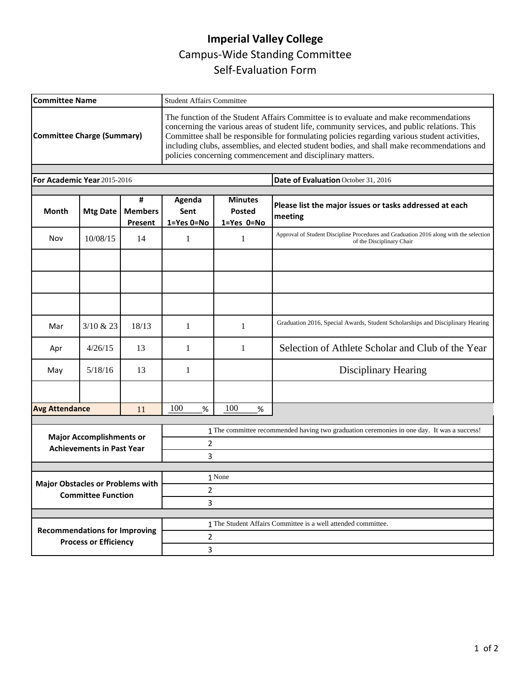## **Imperial Valley College**  Campus-Wide Standing Committee Self-Evaluation Form

| <b>Committee Name</b>                                                |                 |                                | <b>Student Affairs Committee</b>                                                                                                                                                                                                                                                                                                                                                                                                                    |                                        |                                                                                                                     |  |
|----------------------------------------------------------------------|-----------------|--------------------------------|-----------------------------------------------------------------------------------------------------------------------------------------------------------------------------------------------------------------------------------------------------------------------------------------------------------------------------------------------------------------------------------------------------------------------------------------------------|----------------------------------------|---------------------------------------------------------------------------------------------------------------------|--|
| <b>Committee Charge (Summary)</b>                                    |                 |                                | The function of the Student Affairs Committee is to evaluate and make recommendations<br>concerning the various areas of student life, community services, and public relations. This<br>Committee shall be responsible for formulating policies regarding various student activities,<br>including clubs, assemblies, and elected student bodies, and shall make recommendations and<br>policies concerning commencement and disciplinary matters. |                                        |                                                                                                                     |  |
|                                                                      |                 |                                |                                                                                                                                                                                                                                                                                                                                                                                                                                                     |                                        |                                                                                                                     |  |
| For Academic Year 2015-2016                                          |                 |                                |                                                                                                                                                                                                                                                                                                                                                                                                                                                     |                                        | Date of Evaluation October 31, 2016                                                                                 |  |
| <b>Month</b>                                                         | <b>Mtg Date</b> | #<br><b>Members</b><br>Present | Agenda<br>Sent<br>1=Yes 0=No                                                                                                                                                                                                                                                                                                                                                                                                                        | <b>Minutes</b><br>Posted<br>1=Yes 0=No | Please list the major issues or tasks addressed at each<br>meeting                                                  |  |
| Nov                                                                  | 10/08/15        | 14                             | 1                                                                                                                                                                                                                                                                                                                                                                                                                                                   | 1                                      | Approval of Student Discipline Procedures and Graduation 2016 along with the selection<br>of the Disciplinary Chair |  |
|                                                                      |                 |                                |                                                                                                                                                                                                                                                                                                                                                                                                                                                     |                                        |                                                                                                                     |  |
|                                                                      |                 |                                |                                                                                                                                                                                                                                                                                                                                                                                                                                                     |                                        |                                                                                                                     |  |
|                                                                      |                 |                                |                                                                                                                                                                                                                                                                                                                                                                                                                                                     |                                        |                                                                                                                     |  |
| Mar                                                                  | 3/10 & 23       | 18/13                          | 1                                                                                                                                                                                                                                                                                                                                                                                                                                                   | 1                                      | Graduation 2016, Special Awards, Student Scholarships and Disciplinary Hearing                                      |  |
| Apr                                                                  | 4/26/15         | 13                             | 1                                                                                                                                                                                                                                                                                                                                                                                                                                                   | 1                                      | Selection of Athlete Scholar and Club of the Year                                                                   |  |
| May                                                                  | 5/18/16         | 13                             | 1                                                                                                                                                                                                                                                                                                                                                                                                                                                   |                                        | <b>Disciplinary Hearing</b>                                                                                         |  |
|                                                                      |                 |                                |                                                                                                                                                                                                                                                                                                                                                                                                                                                     |                                        |                                                                                                                     |  |
| <b>Avg Attendance</b><br>11                                          |                 | 100<br>%                       | 100<br>$\%$                                                                                                                                                                                                                                                                                                                                                                                                                                         |                                        |                                                                                                                     |  |
|                                                                      |                 |                                |                                                                                                                                                                                                                                                                                                                                                                                                                                                     |                                        | 1 The committee recommended having two graduation ceremonies in one day. It was a success!                          |  |
| <b>Major Accomplishments or</b><br><b>Achievements in Past Year</b>  |                 |                                | 2                                                                                                                                                                                                                                                                                                                                                                                                                                                   |                                        |                                                                                                                     |  |
|                                                                      |                 |                                | 3                                                                                                                                                                                                                                                                                                                                                                                                                                                   |                                        |                                                                                                                     |  |
|                                                                      |                 |                                |                                                                                                                                                                                                                                                                                                                                                                                                                                                     | 1 None                                 |                                                                                                                     |  |
| <b>Major Obstacles or Problems with</b><br><b>Committee Function</b> |                 |                                | $\overline{2}$                                                                                                                                                                                                                                                                                                                                                                                                                                      |                                        |                                                                                                                     |  |
|                                                                      |                 |                                | 3                                                                                                                                                                                                                                                                                                                                                                                                                                                   |                                        |                                                                                                                     |  |
|                                                                      |                 |                                |                                                                                                                                                                                                                                                                                                                                                                                                                                                     |                                        | 1 The Student Affairs Committee is a well attended committee.                                                       |  |
| <b>Recommendations for Improving</b><br><b>Process or Efficiency</b> |                 |                                | $\overline{2}$                                                                                                                                                                                                                                                                                                                                                                                                                                      |                                        |                                                                                                                     |  |
|                                                                      |                 |                                | 3                                                                                                                                                                                                                                                                                                                                                                                                                                                   |                                        |                                                                                                                     |  |